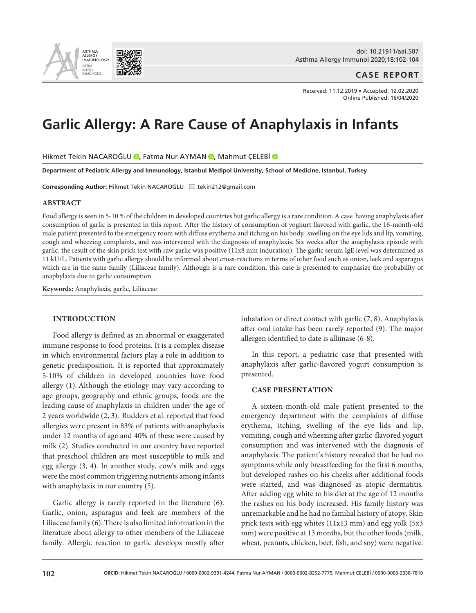

## **CASE REPORT**

Received: 11.12.2019 • Accepted: 12.02.2020 Online Published: 16/04/2020

# **Garlic Allergy: A Rare Cause of Anaphylaxis in Infants**

Hikmet Tekin NACAROĞLU **D**[,](https://orcid.org/0000-0002-8252-7775) Fatma Nur AYMAN D, Mahmut CELEBİ D

**Department of Pediatric Allergy and Immunology, Istanbul Medipol University, School of Medicine, Istanbul, Turkey**

**Corresponding Author: Hikmet Tekin NACAROĞLU E tekin212@gmail.com** 

#### **ABSTRACT**

Food allergy is seen in 5-10 % of the children in developed countries but garlic allergy is a rare condition. A case having anaphylaxis after consumption of garlic is presented in this report. After the history of consumption of yoghurt flavored with garlic, the 16-month-old male patient presented to the emergency room with diffuse erythema and itching on his body, swelling on the eye lids and lip, vomiting, cough and wheezing complaints, and was intervened with the diagnosis of anaphylaxis. Six weeks after the anaphylaxis episode with garlic, the result of the skin prick test with raw garlic was positive (11x8 mm induration). The garlic serum IgE level was determined as 11 kU/L. Patients with garlic allergy should be informed about cross-reactions in terms of other food such as onion, leek and asparagus which are in the same family (Liliaceae family). Although is a rare condition, this case is presented to emphasize the probability of anaphylaxis due to garlic consumption.

**Keywords:** Anaphylaxis, garlic, Liliaceae

## **INTRODUCTION**

Food allergy is defined as an abnormal or exaggerated immune response to food proteins. It is a complex disease in which environmental factors play a role in addition to genetic predisposition. It is reported that approximately 5-10% of children in developed countries have food allergy (1). Although the etiology may vary according to age groups, geography and ethnic groups, foods are the leading cause of anaphylaxis in children under the age of 2 years worldwide (2, 3). Rudders et al. reported that food allergies were present in 83% of patients with anaphylaxis under 12 months of age and 40% of these were caused by milk (2). Studies conducted in our country have reported that preschool children are most susceptible to milk and egg allergy (3, 4). In another study, cow's milk and eggs were the most common triggering nutrients among infants with anaphylaxis in our country (5).

Garlic allergy is rarely reported in the literature (6). Garlic, onion, asparagus and leek are members of the Liliaceae family (6). There is also limited information in the literature about allergy to other members of the Liliaceae family. Allergic reaction to garlic develops mostly after inhalation or direct contact with garlic (7, 8). Anaphylaxis after oral intake has been rarely reported (9). The major allergen identified to date is alliinase (6-8).

In this report, a pediatric case that presented with anaphylaxis after garlic-flavored yogurt consumption is presented.

### **CASE PRESENTATION**

A sixteen-month-old male patient presented to the emergency department with the complaints of diffuse erythema, itching, swelling of the eye lids and lip, vomiting, cough and wheezing after garlic-flavored yogurt consumption and was intervened with the diagnosis of anaphylaxis. The patient's history revealed that he had no symptoms while only breastfeeding for the first 6 months, but developed rashes on his cheeks after additional foods were started, and was diagnosed as atopic dermatitis. After adding egg white to his diet at the age of 12 months the rashes on his body increased. His family history was unremarkable and he had no familial history of atopy. Skin prick tests with egg whites (11x13 mm) and egg yolk (5x3 mm) were positive at 13 months, but the other foods (milk, wheat, peanuts, chicken, beef, fish, and soy) were negative.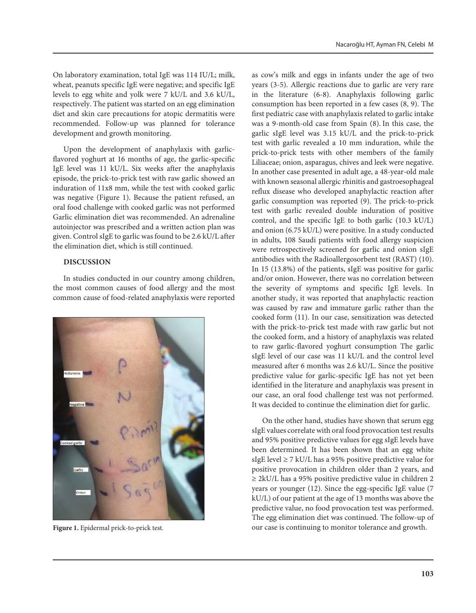On laboratory examination, total IgE was 114 IU/L; milk, wheat, peanuts specific IgE were negative; and specific IgE levels to egg white and yolk were 7 kU/L and 3.6 kU/L, respectively. The patient was started on an egg elimination diet and skin care precautions for atopic dermatitis were recommended. Follow-up was planned for tolerance development and growth monitoring.

Upon the development of anaphylaxis with garlicflavored yoghurt at 16 months of age, the garlic-specific IgE level was 11 kU/L. Six weeks after the anaphylaxis episode, the prick-to-prick test with raw garlic showed an induration of 11x8 mm, while the test with cooked garlic was negative (Figure 1). Because the patient refused, an oral food challenge with cooked garlic was not performed Garlic elimination diet was recommended. An adrenaline autoinjector was prescribed and a written action plan was given. Control sIgE to garlic was found to be 2.6 kU/L after the elimination diet, which is still continued.

# **DISCUSSION**

In studies conducted in our country among children, the most common causes of food allergy and the most common cause of food-related anaphylaxis were reported



as cow's milk and eggs in infants under the age of two years (3-5). Allergic reactions due to garlic are very rare in the literature (6-8). Anaphylaxis following garlic consumption has been reported in a few cases (8, 9). The first pediatric case with anaphylaxis related to garlic intake was a 9-month-old case from Spain (8). In this case, the garlic sIgE level was 3.15 kU/L and the prick-to-prick test with garlic revealed a 10 mm induration, while the prick-to-prick tests with other members of the family Liliaceae; onion, asparagus, chives and leek were negative. In another case presented in adult age, a 48-year-old male with known seasonal allergic rhinitis and gastroesophageal reflux disease who developed anaphylactic reaction after garlic consumption was reported (9). The prick-to-prick test with garlic revealed double induration of positive control, and the specific IgE to both garlic (10.3 kU/L) and onion (6.75 kU/L) were positive. In a study conducted in adults, 108 Saudi patients with food allergy suspicion were retrospectively screened for garlic and onion sIgE antibodies with the Radioallergosorbent test (RAST) (10). In 15 (13.8%) of the patients, sIgE was positive for garlic and/or onion. However, there was no correlation between the severity of symptoms and specific IgE levels. In another study, it was reported that anaphylactic reaction was caused by raw and immature garlic rather than the cooked form (11). In our case, sensitization was detected with the prick-to-prick test made with raw garlic but not the cooked form, and a history of anaphylaxis was related to raw garlic-flavored yoghurt consumption The garlic sIgE level of our case was 11 kU/L and the control level measured after 6 months was 2.6 kU/L. Since the positive predictive value for garlic-specific IgE has not yet been identified in the literature and anaphylaxis was present in our case, an oral food challenge test was not performed. It was decided to continue the elimination diet for garlic.

On the other hand, studies have shown that serum egg sIgE values correlate with oral food provocation test results and 95% positive predictive values for egg sIgE levels have been determined. It has been shown that an egg white sIgE level  $\geq$  7 kU/L has a 95% positive predictive value for positive provocation in children older than 2 years, and  $\geq$  2kU/L has a 95% positive predictive value in children 2 years or younger (12). Since the egg-specific IgE value (7 kU/L) of our patient at the age of 13 months was above the predictive value, no food provocation test was performed. The egg elimination diet was continued. The follow-up of Figure 1. Epidermal prick-to-prick test. **our case is continuing to monitor tolerance and growth.**